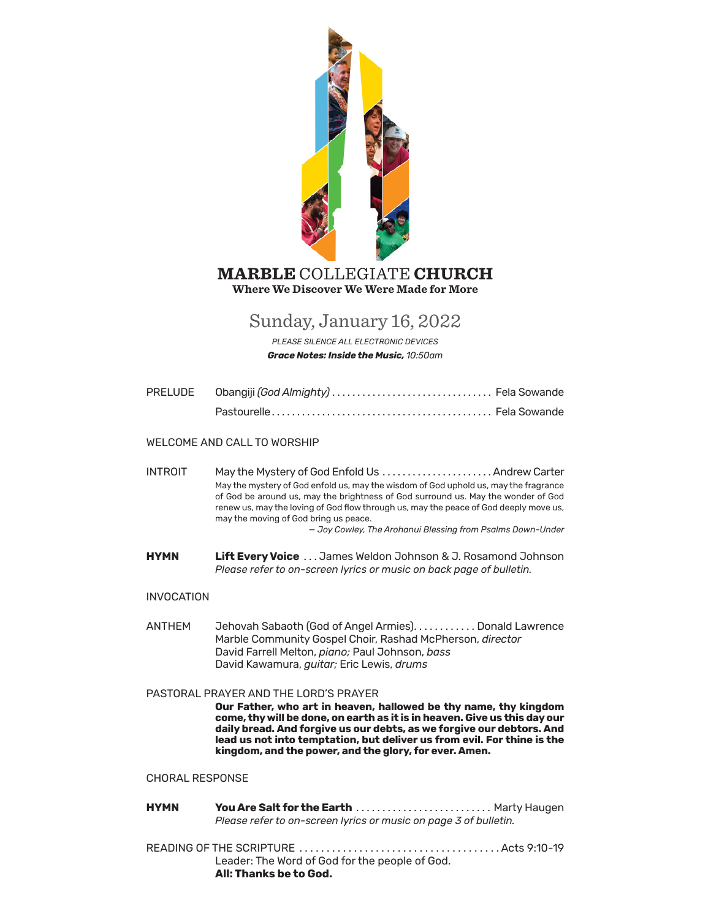

## **MARBLE COLLEGIATE CHURCH** Where We Discover We Were Made for More

# Sunday, January 16, 2022

PLEASE SILENCE ALL ELECTRONIC DEVICES **Grace Notes: Inside the Music, 10:50am** 

## **WELCOME AND CALL TO WORSHIP**

| INTROIT | May the Mystery of God Enfold Us  Andrew Carter                                       |
|---------|---------------------------------------------------------------------------------------|
|         | May the mystery of God enfold us, may the wisdom of God uphold us, may the fragrance  |
|         | of God be around us, may the brightness of God surround us. May the wonder of God     |
|         | renew us, may the loving of God flow through us, may the peace of God deeply move us, |
|         | may the moving of God bring us peace.                                                 |
|         |                                                                                       |

- Joy Cowley, The Arohanui Blessing from Psalms Down-Under

**HYMN** Lift Every Voice ... James Weldon Johnson & J. Rosamond Johnson Please refer to on-screen lyrics or music on back page of bulletin.

## **INVOCATION**

**ANTHFM** Jehovah Sabaoth (God of Angel Armies). . . . . . . . . . . Donald Lawrence Marble Community Gospel Choir, Rashad McPherson, director David Farrell Melton, piano; Paul Johnson, bass David Kawamura, guitar; Eric Lewis, drums

PASTORAL PRAYER AND THE LORD'S PRAYER

Our Father, who art in heaven, hallowed be thy name, thy kingdom come, thy will be done, on earth as it is in heaven. Give us this day our daily bread. And forgive us our debts, as we forgive our debtors. And lead us not into temptation, but deliver us from evil. For thine is the kingdom, and the power, and the glory, for ever. Amen.

**CHORAL RESPONSE** 

- **HYMN** You Are Salt for the Earth ............................ Marty Haugen Please refer to on-screen lyrics or music on page 3 of bulletin.
- Leader: The Word of God for the people of God. All: Thanks be to God.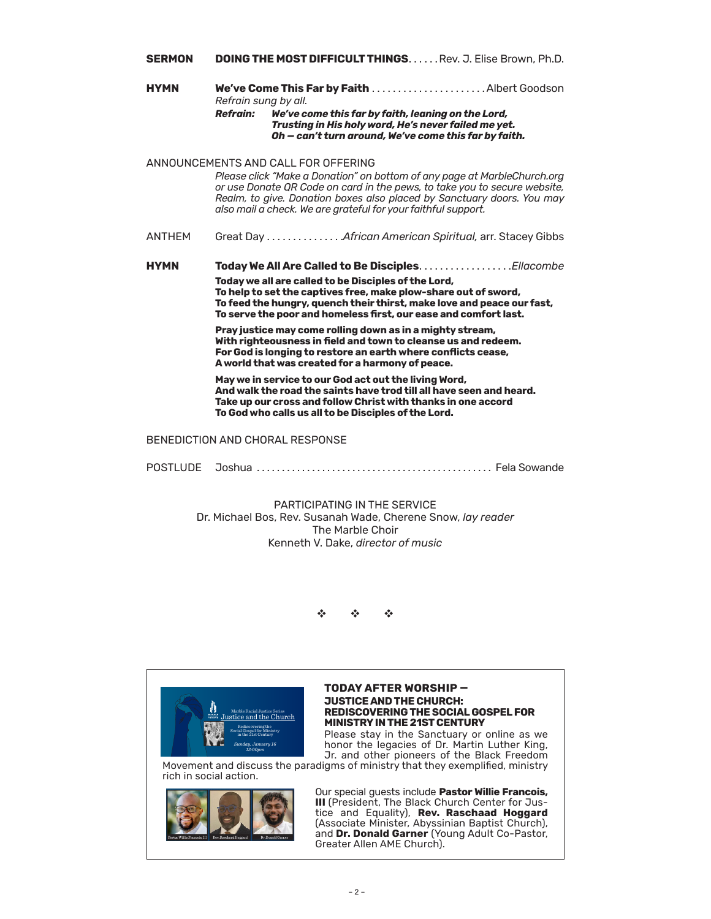| <b>SERMON</b>                   | <b>DOING THE MOST DIFFICULT THINGS.</b> Rev. J. Elise Brown, Ph.D.                                                                                                                                                                                                                                                                      |  |
|---------------------------------|-----------------------------------------------------------------------------------------------------------------------------------------------------------------------------------------------------------------------------------------------------------------------------------------------------------------------------------------|--|
| <b>HYMN</b>                     | Refrain sung by all.                                                                                                                                                                                                                                                                                                                    |  |
|                                 | <b>Refrain:</b><br>We've come this far by faith, leaning on the Lord,<br>Trusting in His holy word, He's never failed me yet.<br>Oh - can't turn around, We've come this far by faith.                                                                                                                                                  |  |
|                                 | ANNOUNCEMENTS AND CALL FOR OFFERING<br>Please click "Make a Donation" on bottom of any page at MarbleChurch.org<br>or use Donate QR Code on card in the pews, to take you to secure website,<br>Realm, to give. Donation boxes also placed by Sanctuary doors. You may<br>also mail a check. We are grateful for your faithful support. |  |
| <b>ANTHFM</b>                   | Great Day  African American Spiritual, arr. Stacey Gibbs                                                                                                                                                                                                                                                                                |  |
| <b>HYMN</b>                     |                                                                                                                                                                                                                                                                                                                                         |  |
|                                 | Today we all are called to be Disciples of the Lord,<br>To help to set the captives free, make plow-share out of sword,<br>To feed the hungry, quench their thirst, make love and peace our fast,<br>To serve the poor and homeless first, our ease and comfort last.                                                                   |  |
|                                 | Pray justice may come rolling down as in a mighty stream,<br>With righteousness in field and town to cleanse us and redeem.<br>For God is longing to restore an earth where conflicts cease,<br>A world that was created for a harmony of peace.                                                                                        |  |
|                                 | May we in service to our God act out the living Word,<br>And walk the road the saints have trod till all have seen and heard.<br>Take up our cross and follow Christ with thanks in one accord<br>To God who calls us all to be Disciples of the Lord.                                                                                  |  |
| BENEDICTION AND CHORAL RESPONSE |                                                                                                                                                                                                                                                                                                                                         |  |
| <b>POSTLUDE</b>                 |                                                                                                                                                                                                                                                                                                                                         |  |

PARTICIPATING IN THE SERVICE Dr. Michael Bos, Rev. Susanah Wade, Cherene Snow, *lay reader* The Marble Choir Kenneth V. Dake, *director of music*

v v v



### **TODAY AFTER WORSHIP — JUSTICE AND THE CHURCH: REDISCOVERING THE SOCIAL GOSPEL FOR MINISTRY IN THE 21ST CENTURY**

Please stay in the Sanctuary or online as we honor the legacies of Dr. Martin Luther King, Jr. and other pioneers of the Black Freedom

Movement and discuss the paradigms of ministry that they exemplified, ministry rich in social action.



Our special guests include **Pastor Willie Francois, III** (President, The Black Church Center for Justice and Equality), **Rev. Raschaad Hoggard** (Associate Minister, Abyssinian Baptist Church), and **Dr. Donald Garner** (Young Adult Co-Pastor, Greater Allen AME Church).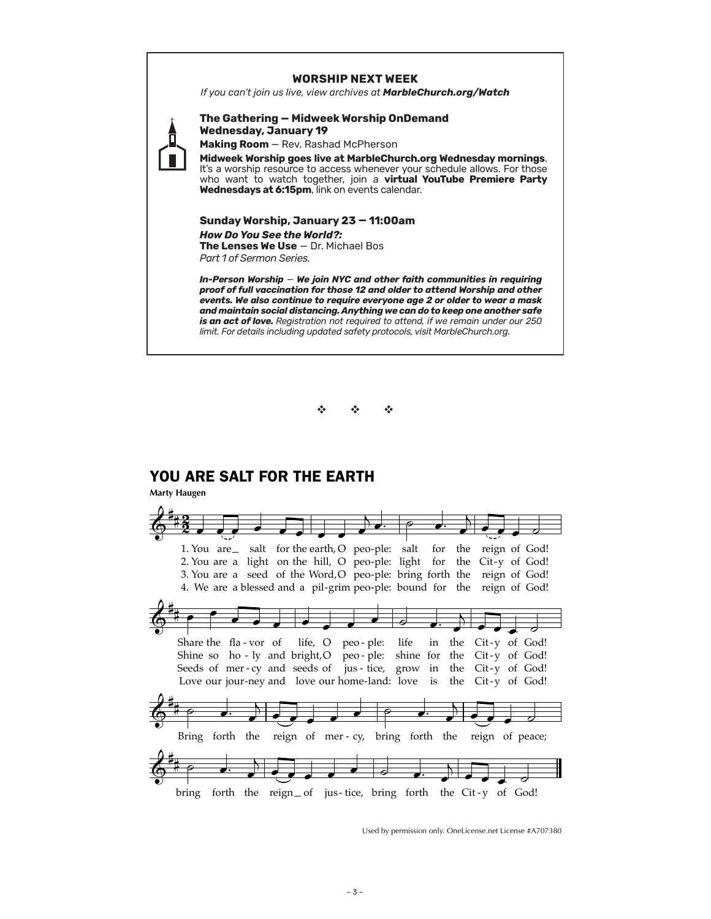



# YOU ARE SALT FOR THE EARTH

**Marty Haugen**

| $\Box$ ). $\rho$<br>$\bullet$ .                                                                                                       |
|---------------------------------------------------------------------------------------------------------------------------------------|
| 1. You are salt for the earth, O peo-ple: salt for the reign of God!                                                                  |
| 2. You are a light on the hill, O peo-ple: light for the Cit-y of God!                                                                |
| 3. You are a seed of the Word, O peo-ple: bring forth the reign of God!                                                               |
| 4. We are a blessed and a pil-grim peo-ple: bound for the reign of God!                                                               |
|                                                                                                                                       |
| $\bullet$ $\bullet$ $\bullet$ $\bullet$ $\bullet$ $\bullet$ $\bullet$                                                                 |
|                                                                                                                                       |
| Share the fla-vor of life, O peo-ple: life in the<br>$City - y$ of $God!$                                                             |
| Shine so ho-ly and bright, O peo-ple: shine for the Cit-y of God!<br>Seeds of mer-cy and seeds of jus-tice, grow in the Cit-y of God! |
| Love our jour-ney and love our home-land: love is<br>the Cit-y of God!                                                                |
|                                                                                                                                       |
|                                                                                                                                       |
| $\qquad \qquad \bullet \qquad \circ \qquad \bullet \qquad \bullet$                                                                    |
| Bring forth the reign of mer-cy, bring forth the reign of peace;                                                                      |
|                                                                                                                                       |
|                                                                                                                                       |
| • ∙                                                                                                                                   |
| bring forth the reign of jus-tice, bring forth the Cit-y of God!                                                                      |

Used by permission only. OneLicense.net License #A707380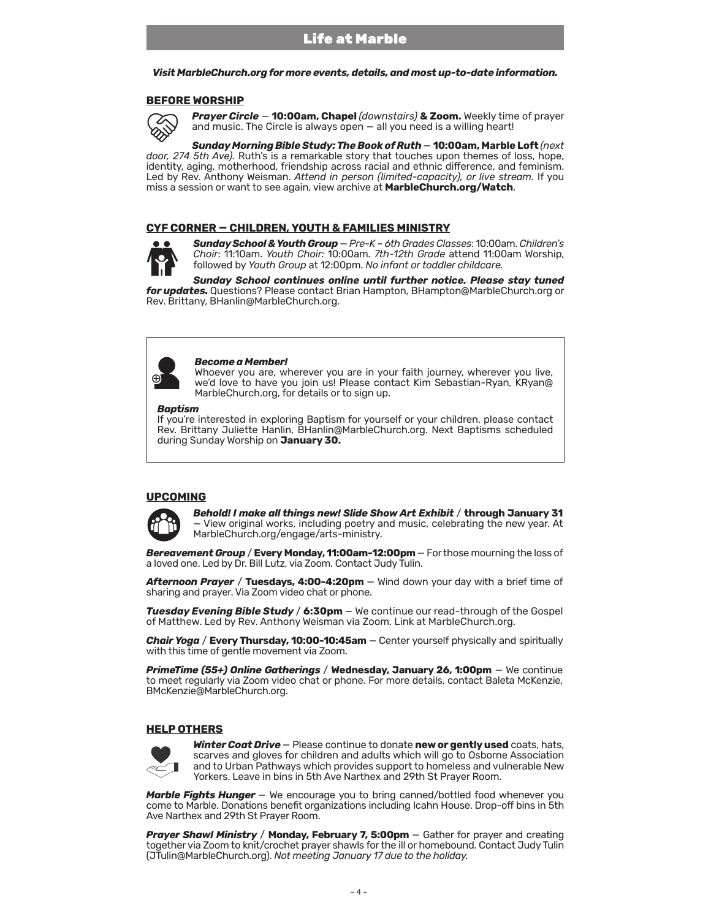#### *Visit MarbleChurch.org for more events, details, and most up-to-date information.*

### **BEFORE WORSHIP**



*Prayer Circle* — **10:00am, Chapel** *(downstairs)* **& Zoom.** Weekly time of prayer and music. The Circle is always open — all you need is a willing heart!

*Sunday Morning Bible Study: The Book of Ruth* — **10:00am, Marble Loft** *(next door, 274 5th Ave).* Ruth's is a remarkable story that touches upon themes of loss, hope, identity, aging, motherhood, friendship across racial and ethnic difference, and feminism. Led by Rev. Anthony Weisman. *Attend in person (limited-capacity), or live stream.* If you miss a session or want to see again, view archive at **MarbleChurch.org/Watch**.

### **CYF CORNER — CHILDREN, YOUTH & FAMILIES MINISTRY**



*Sunday School & Youth Group* — *Pre-K – 6th Grades Classes*: 10:00am.*Children's Choir*: 11:10am. *Youth Choir:* 10:00am. *7th-12th Grade* attend 11:00am Worship, followed by *Youth Group* at 12:00pm. *No infant or toddler childcare.*

*Sunday School continues online until further notice. Please stay tuned for updates.* Questions? Please contact Brian Hampton, BHampton@MarbleChurch.org or Rev. Brittany, BHanlin@MarbleChurch.org.



#### *Become a Member!*

Whoever you are, wherever you are in your faith journey, wherever you live, we'd love to have you join us! Please contact Kim Sebastian-Ryan, KRyan@ MarbleChurch.org, for details or to sign up.

#### *Baptism*

If you're interested in exploring Baptism for yourself or your children, please contact Rev. Brittany Juliette Hanlin, BHanlin@MarbleChurch.org. Next Baptisms scheduled during Sunday Worship on **January 30.**

## **UPCOMING**



*Behold! I make all things new! Slide Show Art Exhibit* / **through January 31**  — View original works, including poetry and music, celebrating the new year. At MarbleChurch.org/engage/arts-ministry.

*Bereavement Group* / **Every Monday, 11:00am-12:00pm** — For those mourning the loss of a loved one. Led by Dr. Bill Lutz, via Zoom. Contact Judy Tulin.

*Afternoon Prayer* / **Tuesdays, 4:00-4:20pm** — Wind down your day with a brief time of sharing and prayer. Via Zoom video chat or phone.

**Tuesday Evening Bible Study / 6:30pm** – We continue our read-through of the Gospel of Matthew. Led by Rev. Anthony Weisman via Zoom. Link at MarbleChurch.org.

*Chair Yoga* / **Every Thursday, 10:00-10:45am** — Center yourself physically and spiritually with this time of gentle movement via Zoom.

*PrimeTime (55+) Online Gatherings* / **Wednesday, January 26, 1:00pm** — We continue to meet regularly via Zoom video chat or phone. For more details, contact Baleta McKenzie, BMcKenzie@MarbleChurch.org.

#### **HELP OTHERS**



*Winter Coat Drive* — Please continue to donate **new or gently used** coats, hats, scarves and gloves for children and adults which will go to Osborne Association and to Urban Pathways which provides support to homeless and vulnerable New Yorkers. Leave in bins in 5th Ave Narthex and 29th St Prayer Room.

**Marble Fights Hunger** – We encourage you to bring canned/bottled food whenever you come to Marble. Donations benefit organizations including Icahn House. Drop-off bins in 5th Ave Narthex and 29th St Prayer Room.

*Prayer Shawl Ministry* / **Monday, February 7, 5:00pm** — Gather for prayer and creating together via Zoom to knit/crochet prayer shawls for the ill or homebound. Contact Judy Tulin (JTulin@MarbleChurch.org). *Not meeting January 17 due to the holiday.*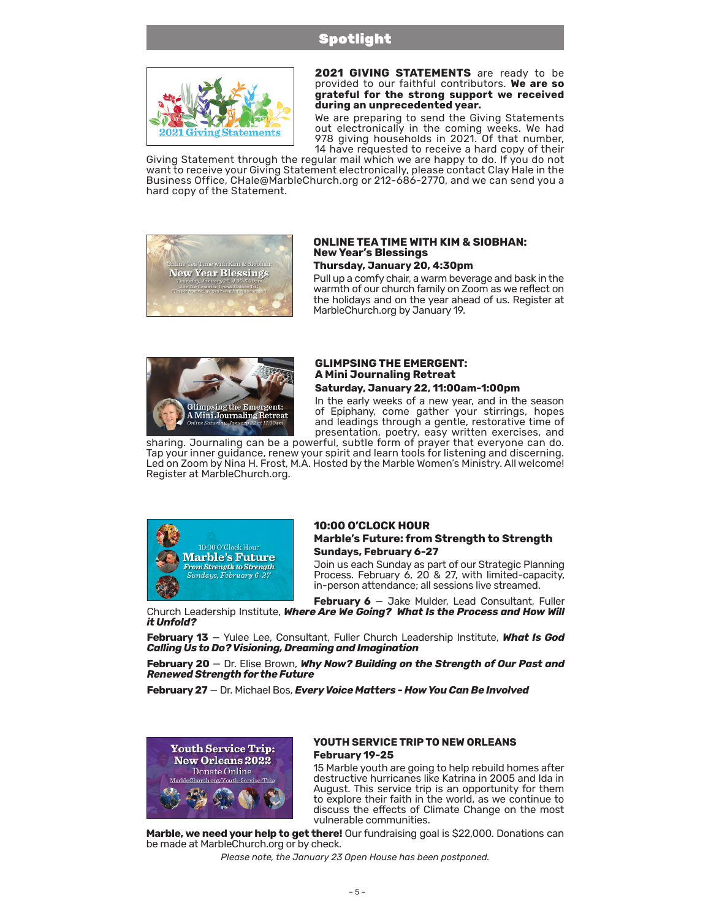## Spotlight



**2021 GIVING STATEMENTS** are ready to be provided to our faithful contributors. **We are so grateful for the strong support we received during an unprecedented year.** 

We are preparing to send the Giving Statements out electronically in the coming weeks. We had 978 giving households in 2021. Of that number, 14 have requested to receive a hard copy of their

Giving Statement through the regular mail which we are happy to do. If you do not want to receive your Giving Statement electronically, please contact Clay Hale in the Business Office, CHale@MarbleChurch.org or 212-686-2770, and we can send you a hard copy of the Statement.



## **ONLINE TEA TIME WITH KIM & SIOBHAN: New Year's Blessings**

**Thursday, January 20, 4:30pm**

Pull up a comfy chair, a warm beverage and bask in the warmth of our church family on Zoom as we reflect on the holidays and on the year ahead of us. Register at MarbleChurch.org by January 19.



## **GLIMPSING THE EMERGENT: A Mini Journaling Retreat Saturday, January 22, 11:00am-1:00pm**

In the early weeks of a new year, and in the season of Epiphany, come gather your stirrings, hopes and leadings through a gentle, restorative time of presentation, poetry, easy written exercises, and

sharing. Journaling can be a powerful, subtle form of prayer that everyone can do. Tap your inner guidance, renew your spirit and learn tools for listening and discerning. Led on Zoom by Nina H. Frost, M.A. Hosted by the Marble Women's Ministry. All welcome! Register at MarbleChurch.org.



*it Unfold?* 

## **10:00 O'CLOCK HOUR Marble's Future: from Strength to Strength Sundays, February 6-27**

Join us each Sunday as part of our Strategic Planning Process. February 6, 20 & 27, with limited-capacity, in-person attendance; all sessions live streamed.

**February 6** — Jake Mulder, Lead Consultant, Fuller Church Leadership Institute, *Where Are We Going? What Is the Process and How Will* 

**February 13** — Yulee Lee, Consultant, Fuller Church Leadership Institute, *What Is God Calling Us to Do? Visioning, Dreaming and Imagination*

**February 20** — Dr. Elise Brown, *Why Now? Building on the Strength of Our Past and Renewed Strength for the Future*

**February 27** — Dr. Michael Bos, *Every Voice Matters - How You Can Be Involved*



## **YOUTH SERVICE TRIP TO NEW ORLEANS February 19-25**

15 Marble youth are going to help rebuild homes after destructive hurricanes like Katrina in 2005 and Ida in August. This service trip is an opportunity for them to explore their faith in the world, as we continue to discuss the effects of Climate Change on the most vulnerable communities.

**Marble, we need your help to get there!** Our fundraising goal is \$22,000. Donations can be made at MarbleChurch.org or by check.

*Please note, the January 23 Open House has been postponed.*